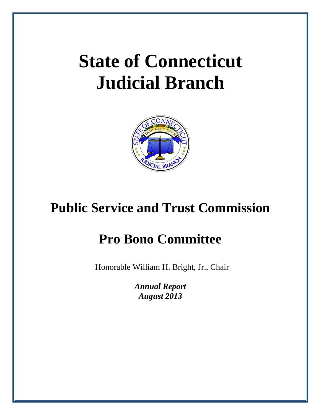# **State of Connecticut Judicial Branch**



## **Public Service and Trust Commission**

## **Pro Bono Committee**

Honorable William H. Bright, Jr., Chair

*Annual Report August 2013*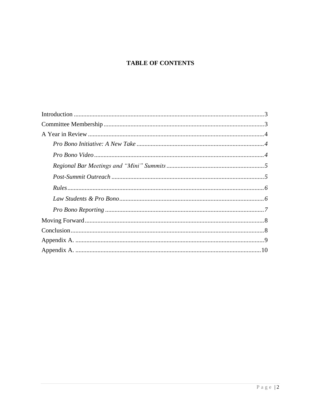#### **TABLE OF CONTENTS**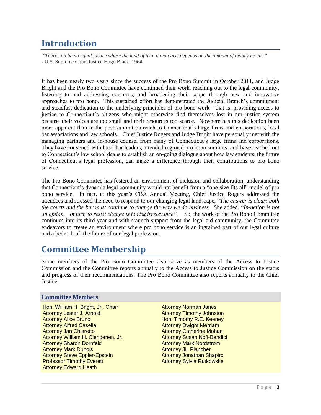## <span id="page-2-0"></span>**Introduction**

*"There can be no equal justice where the kind of trial a man gets depends on the amount of money he has."* - U.S. Supreme Court Justice Hugo Black, 1964

It has been nearly two years since the success of the Pro Bono Summit in October 2011, and Judge Bright and the Pro Bono Committee have continued their work, reaching out to the legal community, listening to and addressing concerns; and broadening their scope through new and innovative approaches to pro bono. This sustained effort has demonstrated the Judicial Branch's commitment and steadfast dedication to the underlying principles of pro bono work - that is, providing access to justice to Connecticut's citizens who might otherwise find themselves lost in our justice system because their voices are too small and their resources too scarce. Nowhere has this dedication been more apparent than in the post-summit outreach to Connecticut's large firms and corporations, local bar associations and law schools. Chief Justice Rogers and Judge Bright have personally met with the managing partners and in-house counsel from many of Connecticut's large firms and corporations. They have convened with local bar leaders, attended regional pro bono summits, and have reached out to Connecticut's law school deans to establish an on-going dialogue about how law students, the future of Connecticut's legal profession, can make a difference through their contributions to pro bono service.

The Pro Bono Committee has fostered an environment of inclusion and collaboration, understanding that Connecticut's dynamic legal community would not benefit from a "one-size fits all" model of pro bono service. In fact, at this year's CBA Annual Meeting, Chief Justice Rogers addressed the attendees and stressed the need to respond to our changing legal landscape, "*The answer is clear: both the courts and the bar must continue to change the way we do business.* She added, "*In-action is not an option. In fact, to resist change is to risk irrelevance".* So, the work of the Pro Bono Committee continues into its third year and with staunch support from the legal aid community, the Committee endeavors to create an environment where pro bono service is an ingrained part of our legal culture and a bedrock of the future of our legal profession.

### <span id="page-2-1"></span>**Committee Membership**

Some members of the Pro Bono Committee also serve as members of the Access to Justice Commission and the Committee reports annually to the Access to Justice Commission on the status and progress of their recommendations. The Pro Bono Committee also reports annually to the Chief Justice.

#### **Committee Members**

Hon. William H. Bright, Jr., Chair Attorney Lester J. Arnold Attorney Alice Bruno Attorney Alfred Casella Attorney Jan Chiaretto Attorney William H. Clendenen, Jr. Attorney Sharon Dornfeld Attorney Mark Dubois Attorney Steve Eppler-Epstein Professor Timothy Everett Attorney Edward Heath

Attorney Norman Janes Attorney Timothy Johnston Hon. Timothy R.E. Keeney Attorney Dwight Merriam Attorney Catherine Mohan Attorney Susan Nofi-Bendici Attorney Mark Nordstrom Attorney Jill Plancher Attorney Jonathan Shapiro Attorney Sylvia Rutkowska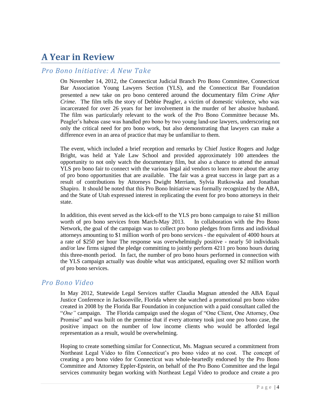## <span id="page-3-0"></span>**A Year in Review**

#### <span id="page-3-1"></span>*Pro Bono Initiative: A New Take*

On November 14, 2012, the Connecticut Judicial Branch Pro Bono Committee, Connecticut Bar Association Young Lawyers Section (YLS), and the Connecticut Bar Foundation presented a new take on pro bono centered around the documentary film *Crime After Crime*. The film tells the story of Debbie Peagler, a victim of domestic violence, who was incarcerated for over 26 years for her involvement in the murder of her abusive husband. The film was particularly relevant to the work of the Pro Bono Committee because Ms. Peagler's habeas case was handled pro bono by two young land-use lawyers, underscoring not only the critical need for pro bono work, but also demonstrating that lawyers can make a difference even in an area of practice that may be unfamiliar to them.

The event, which included a brief reception and remarks by Chief Justice Rogers and Judge Bright, was held at Yale Law School and provided approximately 100 attendees the opportunity to not only watch the documentary film, but also a chance to attend the annual YLS pro bono fair to connect with the various legal aid vendors to learn more about the array of pro bono opportunities that are available. The fair was a great success in large part as a result of contributions by Attorneys Dwight Merriam, Sylvia Rutkowska and Jonathan Shapiro. It should be noted that this Pro Bono Initiative was formally recognized by the ABA, and the State of Utah expressed interest in replicating the event for pro bono attorneys in their state.

In addition, this event served as the kick-off to the YLS pro bono campaign to raise \$1 million worth of pro bono services from March-May 2013. In collaboration with the Pro Bono Network, the goal of the campaign was to collect pro bono pledges from firms and individual attorneys amounting to \$1 million worth of pro bono services - the equivalent of 4000 hours at a rate of \$250 per hour The response was overwhelmingly positive - nearly 50 individuals and/or law firms signed the pledge committing to jointly perform 4211 pro bono hours during this three-month period. In fact, the number of pro bono hours performed in connection with the YLS campaign actually was double what was anticipated, equaling over \$2 million worth of pro bono services.

#### <span id="page-3-2"></span>*Pro Bono Video*

In May 2012, Statewide Legal Services staffer Claudia Magnan attended the ABA Equal Justice Conference in Jacksonville, Florida where she watched a promotional pro bono video created in 2008 by the Florida Bar Foundation in conjunction with a paid consultant called the "*One"* campaign. The Florida campaign used the slogan of "One Client, One Attorney, One Promise" and was built on the premise that if every attorney took just one pro bono case, the positive impact on the number of low income clients who would be afforded legal representation as a result, would be overwhelming.

Hoping to create something similar for Connecticut, Ms. Magnan secured a commitment from Northeast Legal Video to film Connecticut's pro bono video at no cost. The concept of creating a pro bono video for Connecticut was whole-heartedly endorsed by the Pro Bono Committee and Attorney Eppler-Epstein, on behalf of the Pro Bono Committee and the legal services community began working with Northeast Legal Video to produce and create a pro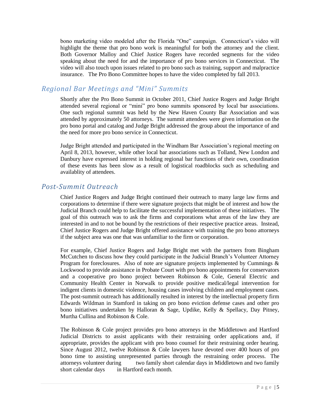bono marketing video modeled after the Florida "One" campaign. Connecticut's video will highlight the theme that pro bono work is meaningful for both the attorney and the client. Both Governor Malloy and Chief Justice Rogers have recorded segments for the video speaking about the need for and the importance of pro bono services in Connecticut. The video will also touch upon issues related to pro bono such as training, support and malpractice insurance. The Pro Bono Committee hopes to have the video completed by fall 2013.

#### <span id="page-4-0"></span>*Regional Bar Meetings and "Mini" Summits*

Shortly after the Pro Bono Summit in October 2011, Chief Justice Rogers and Judge Bright attended several regional or "mini" pro bono summits sponsored by local bar associations. One such regional summit was held by the New Haven County Bar Association and was attended by approximately 50 attorneys. The summit attendees were given information on the pro bono portal and catalog and Judge Bright addressed the group about the importance of and the need for more pro bono service in Connecticut.

Judge Bright attended and participated in the Windham Bar Association's regional meeting on April 8, 2013, however, while other local bar associations such as Tolland, New London and Danbury have expressed interest in holding regional bar functions of their own, coordination of these events has been slow as a result of logistical roadblocks such as scheduling and availablity of attendees.

#### <span id="page-4-1"></span>*Post-Summit Outreach*

Chief Justice Rogers and Judge Bright continued their outreach to many large law firms and corporations to determine if there were signature projects that might be of interest and how the Judicial Branch could help to facilitate the successful implementation of these initiatives. The goal of this outreach was to ask the firms and corporations what areas of the law they are interested in and to not be bound by the restrictions of their respective practice areas. Instead, Chief Justice Rogers and Judge Bright offered assistance with training the pro bono attorneys if the subject area was one that was unfamiliar to the firm or corporation.

For example, Chief Justice Rogers and Judge Bright met with the partners from Bingham McCutchen to discuss how they could participate in the Judicial Branch's Volunteer Attorney Program for foreclosures. Also of note are signature projects implemented by Cummings & Lockwood to provide assistance in Probate Court with pro bono appointments for conservators and a cooperative pro bono project between Robinson & Cole, General Electric and Community Health Center in Norwalk to provide positive medical/legal intervention for indigent clients in domestic violence, housing cases involving children and employment cases. The post-summit outreach has additionally resulted in interest by the intellectual property firm Edwards Wildman in Stamford in taking on pro bono eviction defense cases and other pro bono initiatives undertaken by Halloran & Sage, Updike, Kelly & Spellacy, Day Pitney, Murtha Cullina and Robinson & Cole.

The Robinson & Cole project provides pro bono attorneys in the Middletown and Hartford Judicial Districts to assist applicants with their restraining order applications and, if appropriate, provides the applicant with pro bono counsel for their restraining order hearing. Since August 2012, twelve Robinson & Cole lawyers have devoted over 400 hours of pro bono time to assisting unrepresented parties through the restraining order process. The attorneys volunteer during two family short calendar days in Middletown and two family short calendar days in Hartford each month.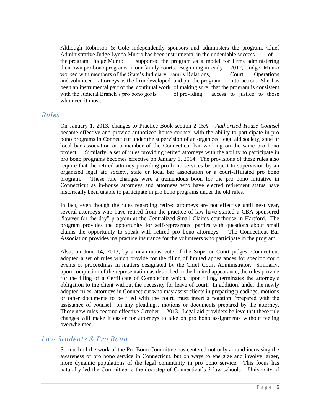Although Robinson & Cole independently sponsors and administers the program, Chief Administrative Judge Lynda Munro has been instrumental in the undeniable success the program. Judge Munro supported the program as a model for firms administering their own pro bono programs in our family courts. Beginning in early 2012, Judge Munro worked with members of the State's Judiciary, Family Relations, Court Operations and volunteer attorneys as the firm developed and put the program into action. She has been an instrumental part of the continual work of making sure that the program is consistent with the Judicial Branch's pro bono goals of providing access to justice to those who need it most.

#### <span id="page-5-0"></span>*Rules*

On January 1, 2013, changes to Practice Book section 2-15A – *Authorized House Counsel* became effective and provide authorized house counsel with the ability to participate in pro bono programs in Connecticut under the supervision of an organized legal aid society, state or local bar association or a member of the Connecticut bar working on the same pro bono project. Similarly, a set of rules providing retired attorneys with the ability to participate in pro bono programs becomes effective on January 1, 2014. The provisions of these rules also require that the retired attorney providing pro bono services be subject to supervision by an organized legal aid society, state or local bar association or a court-affiliated pro bono program. These rule changes were a tremendous boon for the pro bono initiative in Connecticut as in-house attorneys and attorneys who have elected retirement status have historically been unable to participate in pro bono programs under the old rules.

In fact, even though the rules regarding retired attorneys are not effective until next year, several attorneys who have retired from the practice of law have started a CBA sponsored "lawyer for the day" program at the Centralized Small Claims courthouse in Hartford. The program provides the opportunity for self-represented parties with questions about small claims the opportunity to speak with retired pro bono attorneys. The Connecticut Bar Association provides malpractice insurance for the volunteers who participate in the program.

Also, on June 14, 2013, by a unanimous vote of the Superior Court judges, Connecticut adopted a set of rules which provide for the filing of limited appearances for specific court events or proceedings in matters designated by the Chief Court Administrator. Similarly, upon completion of the representation as described in the limited appearance, the rules provide for the filing of a Certificate of Completion which, upon filing, terminates the attorney's obligation to the client without the necessity for leave of court. In addition, under the newly adopted rules, attorneys in Connecticut who may assist clients in preparing pleadings, motions or other documents to be filed with the court, must insert a notation "prepared with the assistance of counsel" on any pleadings, motions or documents prepared by the attorney. These new rules become effective October 1, 2013. Legal aid providers believe that these rule changes will make it easier for attorneys to take on pro bono assignments without feeling overwhelmed.

#### <span id="page-5-1"></span>*Law Students & Pro Bono*

So much of the work of the Pro Bono Committee has centered not only around increasing the awareness of pro bono service in Connecticut, but on ways to energize and involve larger, more dynamic populations of the legal community in pro bono service. This focus has naturally led the Committee to the doorstep of Connecticut's 3 law schools – University of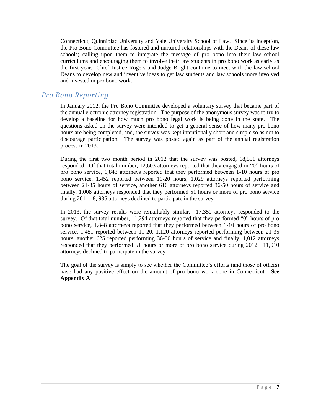Connecticut, Quinnipiac University and Yale University School of Law. Since its inception, the Pro Bono Committee has fostered and nurtured relationships with the Deans of these law schools; calling upon them to integrate the message of pro bono into their law school curriculums and encouraging them to involve their law students in pro bono work as early as the first year. Chief Justice Rogers and Judge Bright continue to meet with the law school Deans to develop new and inventive ideas to get law students and law schools more involved and invested in pro bono work.

#### <span id="page-6-0"></span>*Pro Bono Reporting*

In January 2012, the Pro Bono Committee developed a voluntary survey that became part of the annual electronic attorney registration. The purpose of the anonymous survey was to try to develop a baseline for how much pro bono legal work is being done in the state. The questions asked on the survey were intended to get a general sense of how many pro bono hours are being completed, and, the survey was kept intentionally short and simple so as not to discourage participation. The survey was posted again as part of the annual registration process in 2013.

During the first two month period in 2012 that the survey was posted, 18,551 attorneys responded. Of that total number, 12,603 attorneys reported that they engaged in "0" hours of pro bono service, 1,843 attorneys reported that they performed between 1-10 hours of pro bono service, 1,452 reported between 11-20 hours, 1,029 attorneys reported performing between 21-35 hours of service, another 616 attorneys reported 36-50 hours of service and finally, 1,008 attorneys responded that they performed 51 hours or more of pro bono service during 2011. 8, 935 attorneys declined to participate in the survey.

In 2013, the survey results were remarkably similar. 17,350 attorneys responded to the survey. Of that total number, 11,294 attorneys reported that they performed "0" hours of pro bono service, 1,848 attorneys reported that they performed between 1-10 hours of pro bono service, 1,451 reported between 11-20, 1,120 attorneys reported performing between 21-35 hours, another 625 reported performing 36-50 hours of service and finally, 1,012 attorneys responded that they performed 51 hours or more of pro bono service during 2012. 11,010 attorneys declined to participate in the survey.

The goal of the survey is simply to see whether the Committee's efforts (and those of others) have had any positive effect on the amount of pro bono work done in Connecticut. **See Appendix A**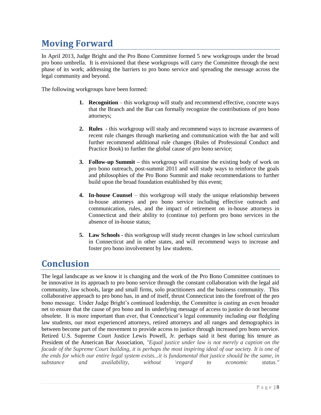## <span id="page-7-0"></span>**Moving Forward**

In April 2013, Judge Bright and the Pro Bono Committee formed 5 new workgroups under the broad pro bono umbrella. It is envisioned that these workgroups will carry the Committee through the next phase of its work; addressing the barriers to pro bono service and spreading the message across the legal community and beyond.

The following workgroups have been formed:

- **1. Recognition** this workgroup will study and recommend effective, concrete ways that the Branch and the Bar can formally recognize the contributions of pro bono attorneys;
- **2. Rules** this workgroup will study and recommend ways to increase awareness of recent rule changes through marketing and communication with the bar and will further recommend additional rule changes (Rules of Professional Conduct and Practice Book) to further the global cause of pro bono service;
- **3. Follow-up Summit –** this workgroup will examine the existing body of work on pro bono outreach, post-summit 2011 and will study ways to reinforce the goals and philosophies of the Pro Bono Summit and make recommendations to further build upon the broad foundation established by this event;
- **4. In-house Counsel** this workgroup will study the unique relationship between in-house attorneys and pro bono service including effective outreach and communication, rules, and the impact of retirement on in-house attorneys in Connecticut and their ability to (continue to) perform pro bono services in the absence of in-house status;
- **5. Law Schools -** this workgroup will study recent changes in law school curriculum in Connecticut and in other states, and will recommend ways to increase and foster pro bono involvement by law students.

### <span id="page-7-1"></span>**Conclusion**

The legal landscape as we know it is changing and the work of the Pro Bono Committee continues to be innovative in its approach to pro bono service through the constant collaboration with the legal aid community, law schools, large and small firms, solo practitioners and the business community. This collaborative approach to pro bono has, in and of itself, thrust Connecticut into the forefront of the pro bono message. Under Judge Bright's continued leadership, the Committee is casting an even broader net to ensure that the cause of pro bono and its underlying message of access to justice do not become obsolete. It is more important than ever, that Connecticut's legal community including our fledgling law students, our most experienced attorneys, retired attorneys and all ranges and demographics in between become part of the movement to provide access to justice through increased pro bono service. Retired U.S. Supreme Court Justice Lewis Powell, Jr. perhaps said it best during his tenure as President of the American Bar Association, *"Equal justice under law is not merely a caption on the facade of the Supreme Court building, it is perhaps the most inspiring ideal of our society. It is one of the ends for which our entire legal system exists...it is fundamental that justice should be the same, in substance and availability, without \regard to economic status."*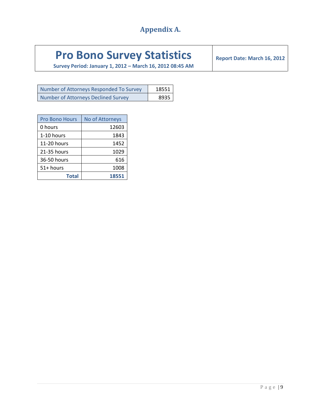### **Appendix A.**

## <span id="page-8-0"></span>**Pro Bono Survey Statistics**

**Survey Period: January 1, 2012 – March 16, 2012 08:45 AM**

**Report Date: March 16, 2012**

| Number of Attorneys Responded To Survey | 18551 |
|-----------------------------------------|-------|
| Number of Attorneys Declined Survey     | 8935  |

| <b>Pro Bono Hours</b> | <b>No of Attorneys</b> |
|-----------------------|------------------------|
| 0 hours               | 12603                  |
| 1-10 hours            | 1843                   |
| $11-20$ hours         | 1452                   |
| 21-35 hours           | 1029                   |
| 36-50 hours           | 616                    |
| 51+ hours             | 1008                   |
| <b>Total</b>          | 18551                  |